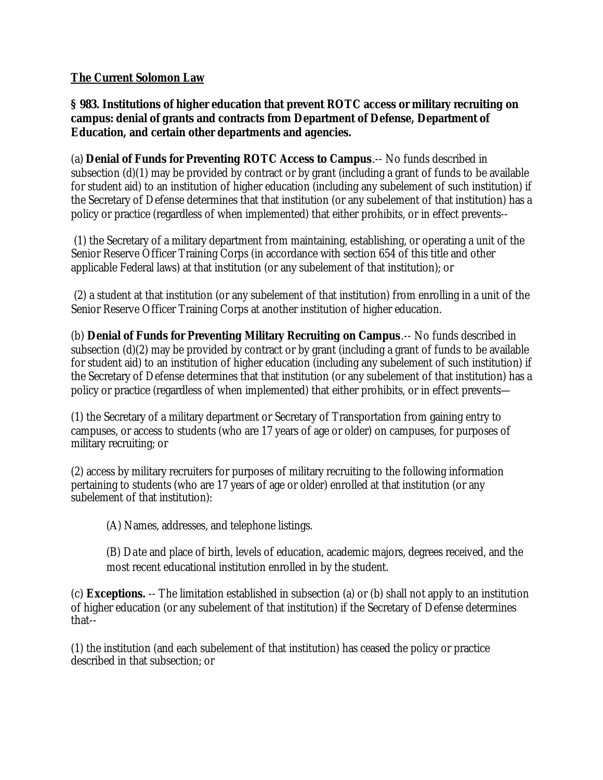## **The Current Solomon Law**

**§ 983. Institutions of higher education that prevent ROTC access or military recruiting on campus: denial of grants and contracts from Department of Defense, Department of Education, and certain other departments and agencies.**

(a) **Denial of Funds for Preventing ROTC Access to Campus**.-- No funds described in subsection (d)(1) may be provided by contract or by grant (including a grant of funds to be available for student aid) to an institution of higher education (including any subelement of such institution) if the Secretary of Defense determines that that institution (or any subelement of that institution) has a policy or practice (regardless of when implemented) that either prohibits, or in effect prevents--

(1) the Secretary of a military department from maintaining, establishing, or operating a unit of the Senior Reserve Officer Training Corps (in accordance with section 654 of this title and other applicable Federal laws) at that institution (or any subelement of that institution); or

(2) a student at that institution (or any subelement of that institution) from enrolling in a unit of the Senior Reserve Officer Training Corps at another institution of higher education.

(b) **Denial of Funds for Preventing Military Recruiting on Campus**.-- No funds described in subsection (d)(2) may be provided by contract or by grant (including a grant of funds to be available for student aid) to an institution of higher education (including any subelement of such institution) if the Secretary of Defense determines that that institution (or any subelement of that institution) has a policy or practice (regardless of when implemented) that either prohibits, or in effect prevents—

(1) the Secretary of a military department or Secretary of Transportation from gaining entry to campuses, or access to students (who are 17 years of age or older) on campuses, for purposes of military recruiting; or

(2) access by military recruiters for purposes of military recruiting to the following information pertaining to students (who are 17 years of age or older) enrolled at that institution (or any subelement of that institution):

(A) Names, addresses, and telephone listings.

(B) Date and place of birth, levels of education, academic majors, degrees received, and the most recent educational institution enrolled in by the student.

(c) **Exceptions.** -- The limitation established in subsection (a) or (b) shall not apply to an institution of higher education (or any subelement of that institution) if the Secretary of Defense determines that--

(1) the institution (and each subelement of that institution) has ceased the policy or practice described in that subsection; or